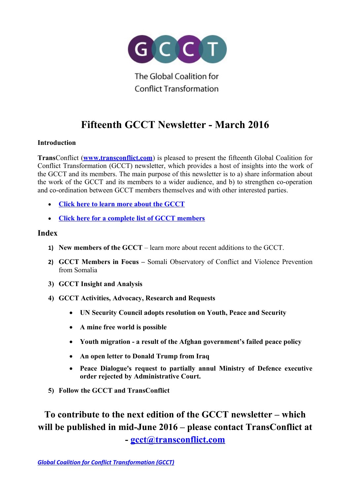

The Global Coalition for **Conflict Transformation** 

# **Fifteenth GCCT Newsletter - March 2016**

### **Introduction**

**Trans**Conflict (**[www.transconflict.com](http://www.transconflict.com/)**) is pleased to present the fifteenth Global Coalition for Conflict Transformation (GCCT) newsletter, which provides a host of insights into the work of the GCCT and its members. The main purpose of this newsletter is to a) share information about the work of the GCCT and its members to a wider audience, and b) to strengthen co-operation and co-ordination between GCCT members themselves and with other interested parties.

- **[Click here to learn more about the GCCT](http://www.transconflict.com/gcct/global-coalition-for-conflict-transformation/)**
- **[Click here for a complete list of GCCT members](http://www.transconflict.com/gcct/gcct-members/members/)**

## **Index**

- **1) New members of the GCCT** learn more about recent additions to the GCCT.
- **2) GCCT Members in Focus** Somali Observatory of Conflict and Violence Prevention from Somalia
- **3) GCCT Insight and Analysis**
- **4) GCCT Activities, Advocacy, Research and Requests**
	- **UN Security Council adopts resolution on Youth, Peace and Security**
	- **A mine free world is possible**
	- **Youth migration a result of the Afghan government's failed peace policy**
	- **An open letter to Donald Trump from Iraq**
	- **Peace Dialogue's request to partially annul Ministry of Defence executive order rejected by Administrative Court.**
- **5) Follow the GCCT and TransConflict**

**To contribute to the next edition of the GCCT newsletter – which will be published in mid-June 2016 – please contact TransConflict at - [gcct@transconflict.com](mailto:gcct@transconflict.com)**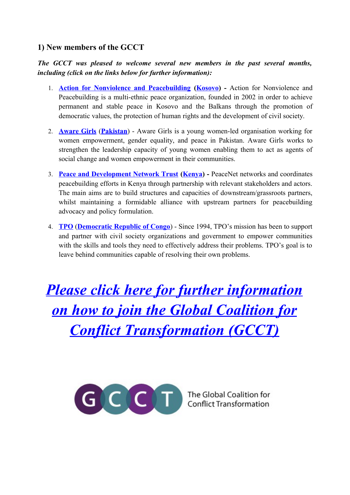# **1) New members of the GCCT**

*The GCCT was pleased to welcome several new members in the past several months, including (click on the links below for further information):*

- 1. **[Action for Nonviolence and Peacebuilding](http://www.transconflict.com/gcct/gcct-members/europe/the-balkans/kosovo/action-nonviolence-peacebuilding/) [\(Kosovo\)](http://www.transconflict.com/gcct/gcct-members/europe/the-balkans/kosovo/)** Action for Nonviolence and Peacebuilding is a multi-ethnic peace organization, founded in 2002 in order to achieve permanent and stable peace in Kosovo and the Balkans through the promotion of democratic values, the protection of human rights and the development of civil society.
- 2. **[Aware Girls](http://www.transconflict.com/gcct/gcct-members/asia/pakistan/aware-girls/)** (**[Pakistan](http://www.transconflict.com/gcct/gcct-members/asia/pakistan/)**) Aware Girls is a young women-led organisation working for women empowerment, gender equality, and peace in Pakistan. Aware Girls works to strengthen the leadership capacity of young women enabling them to act as agents of social change and women empowerment in their communities.
- 3. **[Peace and Development Network Trust](http://www.transconflict.com/gcct/gcct-members/africa/eastern-africa/kenya/peace-development-network-trust-peacenet/) [\(Kenya\)](http://www.transconflict.com/gcct/gcct-members/africa/eastern-africa/kenya/)** PeaceNet networks and coordinates peacebuilding efforts in Kenya through partnership with relevant stakeholders and actors. The main aims are to build structures and capacities of downstream/grassroots partners, whilst maintaining a formidable alliance with upstream partners for peacebuilding advocacy and policy formulation.
- 4. **[TPO](http://www.transconflict.com/gcct/gcct-members/africa/middle-africa/democratic-republic-of-congo/tpo/)** (**[Democratic Republic of Congo](http://www.transconflict.com/gcct/gcct-members/africa/middle-africa/democratic-republic-of-congo/)**) Since 1994, TPO's mission has been to support and partner with civil society organizations and government to empower communities with the skills and tools they need to effectively address their problems. TPO's goal is to leave behind communities capable of resolving their own problems.

*[Please click here for further information](http://www.transconflict.com/gcct/global-coalition-for-conflict-transformation/application-to-join-the-gcct/) [on how to join the Global Coalition for](http://www.transconflict.com/gcct/global-coalition-for-conflict-transformation/application-to-join-the-gcct/) [Conflict Transformation \(GCCT\)](http://www.transconflict.com/gcct/global-coalition-for-conflict-transformation/application-to-join-the-gcct/)*



The Global Coalition for **Conflict Transformation**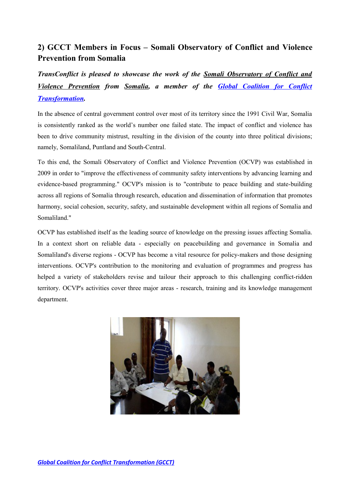# **2) GCCT Members in Focus – Somali Observatory of Conflict and Violence Prevention from Somalia**

*TransConflict is pleased to showcase the work of the [Somali Observatory of Conflict and](http://www.transconflict.com/gcct/gcct-members/africa/eastern-africa/somalia/somali-observatory-of-conflict-and-violence-prevention/) [Violence Prevention](http://www.transconflict.com/gcct/gcct-members/africa/eastern-africa/somalia/somali-observatory-of-conflict-and-violence-prevention/) from [Somalia,](http://www.transconflict.com/gcct/gcct-members/africa/eastern-africa/somalia/) a member of the [Global Coalition for Conflict](http://www.transconflict.com/gcct/global-coalition-for-conflict-transformation/) [Transformation.](http://www.transconflict.com/gcct/global-coalition-for-conflict-transformation/)*

In the absence of central government control over most of its territory since the 1991 Civil War, Somalia is consistently ranked as the world's number one failed state. The impact of conflict and violence has been to drive community mistrust, resulting in the division of the county into three political divisions; namely, Somaliland, Puntland and South-Central.

To this end, the Somali Observatory of Conflict and Violence Prevention (OCVP) was established in 2009 in order to "improve the effectiveness of community safety interventions by advancing learning and evidence-based programming." OCVP's mission is to "contribute to peace building and state-building across all regions of Somalia through research, education and dissemination of information that promotes harmony, social cohesion, security, safety, and sustainable development within all regions of Somalia and Somaliland."

OCVP has established itself as the leading source of knowledge on the pressing issues affecting Somalia. In a context short on reliable data - especially on peacebuilding and governance in Somalia and Somaliland's diverse regions - OCVP has become a vital resource for policy-makers and those designing interventions. OCVP's contribution to the monitoring and evaluation of programmes and progress has helped a variety of stakeholders revise and tailour their approach to this challenging conflict-ridden territory. OCVP's activities cover three major areas - research, training and its knowledge management department.



*[Global Coalition for Conflict Transformation \(GCCT\)](http://www.transconflict.com/gcct/global-coalition-for-conflict-transformation/)*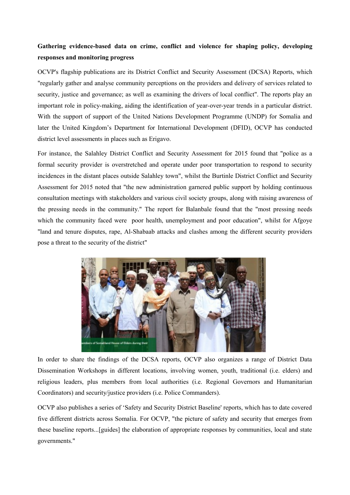# **Gathering evidence-based data on crime, conflict and violence for shaping policy, developing responses and monitoring progress**

OCVP's flagship publications are its District Conflict and Security Assessment (DCSA) Reports, which "regularly gather and analyse community perceptions on the providers and delivery of services related to security, justice and governance; as well as examining the drivers of local conflict". The reports play an important role in policy-making, aiding the identification of year-over-year trends in a particular district. With the support of support of the United Nations Development Programme (UNDP) for Somalia and later the United Kingdom's Department for International Development (DFID), OCVP has conducted district level assessments in places such as Erigavo.

For instance, the Salahley District Conflict and Security Assessment for 2015 found that "police as a formal security provider is overstretched and operate under poor transportation to respond to security incidences in the distant places outside Salahley town", whilst the Burtinle District Conflict and Security Assessment for 2015 noted that "the new administration garnered public support by holding continuous consultation meetings with stakeholders and various civil society groups, along with raising awareness of the pressing needs in the community." The report for Balanbale found that the "most pressing needs which the community faced were poor health, unemployment and poor education", whilst for Afgoye "land and tenure disputes, rape, Al-Shabaab attacks and clashes among the different security providers pose a threat to the security of the district"



In order to share the findings of the DCSA reports, OCVP also organizes a range of District Data Dissemination Workshops in different locations, involving women, youth, traditional (i.e. elders) and religious leaders, plus members from local authorities (i.e. Regional Governors and Humanitarian Coordinators) and security/justice providers (i.e. Police Commanders).

OCVP also publishes a series of 'Safety and Security District Baseline' reports, which has to date covered five different districts across Somalia. For OCVP, "the picture of safety and security that emerges from these baseline reports...[guides] the elaboration of appropriate responses by communities, local and state governments."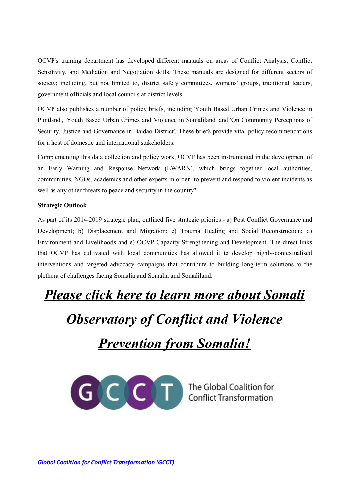OCVP's training department has developed different manuals on areas of Conflict Analysis, Conflict Sensitivity, and Mediation and Negotiation skills. These manuals are designed for different sectors of society; including, but not limited to, district safety committees, womens' groups, traditional leaders, government officials and local councils at district levels.

OCVP also publishes a number of policy briefs, including 'Youth Based Urban Crimes and Violence in Puntland', 'Youth Based Urban Crimes and Violence in Somaliland' and 'On Community Perceptions of Security, Justice and Governance in Baidao District'. These briefs provide vital policy recommendations for a host of domestic and international stakeholders.

Complementing this data collection and policy work, OCVP has been instrumental in the development of an Early Warning and Response Network (EWARN), which brings together local authorities, communities, NGOs, academics and other experts in order "to prevent and respond to violent incidents as well as any other threats to peace and security in the country".

#### **Strategic Outlook**

As part of its 2014-2019 strategic plan, outlined five strategic priories - a) Post Conflict Governance and Development; b) Displacement and Migration; c) Trauma Healing and Social Reconstruction; d) Environment and Livelihoods and e) OCVP Capacity Strengthening and Development. The direct links that OCVP has cultivated with local communities has allowed it to develop highly-contextualised interventions and targeted advocacy campaigns that contribute to building long-term solutions to the plethora of challenges facing Somalia and Somalia and Somaliland.

# *[Please click here to learn more about Somali](http://www.transconflict.com/gcct/gcct-members/africa/eastern-africa/somalia/somali-observatory-of-conflict-and-violence-prevention/) [Observatory of Conflict and Violence](http://www.transconflict.com/gcct/gcct-members/africa/eastern-africa/somalia/somali-observatory-of-conflict-and-violence-prevention/) [Prevention from Somalia!](http://www.transconflict.com/gcct/gcct-members/africa/eastern-africa/somalia/somali-observatory-of-conflict-and-violence-prevention/)*

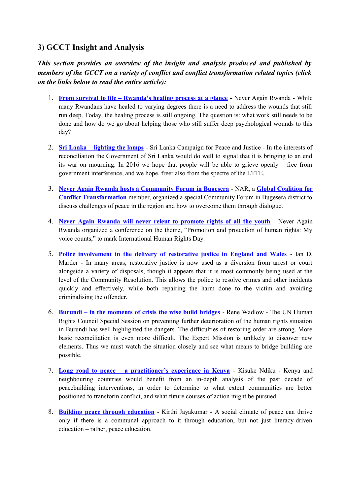# **3) GCCT Insight and Analysis**

*This section provides an overview of the insight and analysis produced and published by members of the GCCT on a variety of conflict and conflict transformation related topics (click on the links below to read the entire article):*

- 1. **[From survival to life Rwanda's healing process at a glance](http://www.transconflict.com/2016/01/from-survival-to-life-rwandas-healing-process-at-a-glance-181/)** Never Again Rwanda While many Rwandans have healed to varying degrees there is a need to address the wounds that still run deep. Today, the healing process is still ongoing. The question is: what work still needs to be done and how do we go about helping those who still suffer deep psychological wounds to this day?
- 2. **[Sri Lanka lighting the lamps](http://www.transconflict.com/2016/02/lighting-the-lamps-222/)** Sri Lanka Campaign for Peace and Justice In the interests of reconciliation the Government of Sri Lanka would do well to signal that it is bringing to an end its war on mourning. In 2016 we hope that people will be able to grieve openly – free from government interference, and we hope, freer also from the spectre of the LTTE.
- 3. **[Never Again Rwanda hosts a Community Forum in Bugesera](http://www.transconflict.com/2016/01/never-again-rwanda-hosts-a-community-forum-in-bugesera-041/)** NAR, a **[Global Coalition for](http://www.transconflict.com/gcct/global-coalition-for-conflict-transformation/) [Conflict Transformation](http://www.transconflict.com/gcct/global-coalition-for-conflict-transformation/)** member, organized a special Community Forum in Bugesera district to discuss challenges of peace in the region and how to overcome them through dialogue.
- 4. **[Never Again Rwanda will never relent to promote rights of all the youth](http://www.transconflict.com/2016/01/never-again-rwanda-will-never-relent-to-promote-rights-of-all-the-youth-181/)** Never Again Rwanda organized a conference on the theme, "Promotion and protection of human rights: My voice counts," to mark International Human Rights Day.
- 5. **[Police involvement in the delivery of restorative justice in England and Wales](http://www.transconflict.com/2016/03/police-involvement-in-the-delivery-of-restorative-justice-in-england-and-wales-023/)** Ian D. Marder - In many areas, restorative justice is now used as a diversion from arrest or court alongside a variety of disposals, though it appears that it is most commonly being used at the level of the Community Resolution. This allows the police to resolve crimes and other incidents quickly and effectively, while both repairing the harm done to the victim and avoiding criminalising the offender.
- 6. **[Burundi in the moments of crisis the wise build bridges](http://www.transconflict.com/2015/12/burundi-in-the-moments-of-crisis-the-wise-build-bridges-232/)** Rene Wadlow The UN Human Rights Council Special Session on preventing further deterioration of the human rights situation in Burundi has well highlighted the dangers. The difficulties of restoring order are strong. More basic reconciliation is even more difficult. The Expert Mission is unlikely to discover new elements. Thus we must watch the situation closely and see what means to bridge building are possible.
- 7. **[Long road to peace a practitioner's experience in Kenya](http://www.transconflict.com/2016/02/long-road-to-peace-a-practitioners-experience-in-kenya/)** Kisuke Ndiku Kenya and neighbouring countries would benefit from an in-depth analysis of the past decade of peacebuilding interventions, in order to determine to what extent communities are better positioned to transform conflict, and what future courses of action might be pursued.
- 8. **[Building peace through education](http://www.transconflict.com/2016/02/building-peace-through-education-162/)** Kirthi Jayakumar A social climate of peace can thrive only if there is a communal approach to it through education, but not just literacy-driven education – rather, peace education.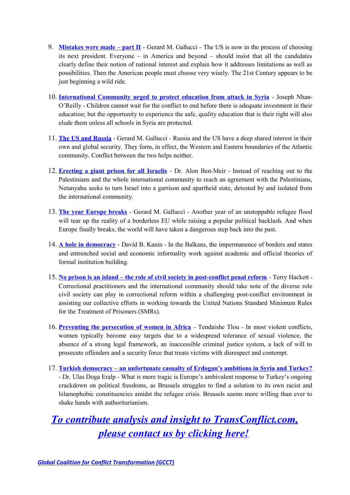- 9. **[Mistakes were made part II](http://www.transconflict.com/2016/02/mistakes-were-made-part-ii-152/)** Gerard M. Gallucci The US is now in the process of choosing its next president. Everyone – in America and beyond – should insist that all the candidates clearly define their notion of national interest and explain how it addresses limitations as well as possibilities. Then the American people must choose very wisely. The 21st Century appears to be just beginning a wild ride.
- 10. **[International Community urged to protect education from attack in Syria](http://www.transconflict.com/2016/02/international-community-urged-to-protect-education-from-attack-in-syria-092/)** Joseph Nhan-O'Reilly - Children cannot wait for the conflict to end before there is adequate investment in their education; but the opportunity to experience the safe, quality education that is their right will also elude them unless all schools in Syria are protected.
- 11. **[The US and Russia](http://www.transconflict.com/2016/01/the-us-and-russia/)** Gerard M. Gallucci Russia and the US have a deep shared interest in their own and global security. They form, in effect, the Western and Eastern boundaries of the Atlantic community. Conflict between the two helps neither.
- 12. **[Erecting a giant prison for all Israelis](http://www.transconflict.com/2016/02/erecting-a-giant-prison-for-all-israelis-232/)** Dr. Alon Ben-Meir Instead of reaching out to the Palestinians and the whole international community to reach an agreement with the Palestinians, Netanyahu seeks to turn Israel into a garrison and apartheid state, detested by and isolated from the international community.
- 13. **[The year Europe breaks](http://www.transconflict.com/2016/02/the-year-europe-breaks-292/)** Gerard M. Gallucci Another year of an unstoppable refugee flood will tear up the reality of a borderless EU while raising a popular political backlash. And when Europe finally breaks, the world will have taken a dangerous step back into the past.
- 14. **[A hole in democracy](http://www.transconflict.com/2016/02/a-hole-in-democracy-092/)** David B. Kanin In the Balkans, the impermanence of borders and states and entrenched social and economic informality work against academic and official theories of formal institution building.
- 15. **[No prison is an island the role of civil society in post-conflict penal reform](http://www.transconflict.com/2016/02/no-prison-is-an-island-the-role-of-civil-society-in-post-conflict-penal-reform-252/)** Terry Hackett Correctional practitioners and the international community should take note of the diverse role civil society can play in correctional reform within a challenging post-conflict environment in assisting our collective efforts in working towards the United Nations Standard Minimum Rules for the Treatment of Prisoners (SMRs).
- 16. **[Preventing the persecution of women in Africa](http://www.transconflict.com/2016/02/preventing-the-persecution-of-women-in-africa-182/)** Tendaishe Tlou In most violent conflicts, women typically become easy targets due to a widespread tolerance of sexual violence, the absence of a strong legal framework, an inaccessible criminal justice system, a lack of will to prosecute offenders and a security force that treats victims with disrespect and contempt.
- 17. **[Turkish democracy an unfortunate casualty of Erdogan's ambitions in Syria and Turkey?](http://www.transconflict.com/2016/03/turkish-democracy-an-unfortunate-casualty-of-erdogans-ambitions-in-syria-and-turkey-093/)** - Dr. Ulas Doga Eralp - What is more tragic is Europe's ambivalent response to Turkey's ongoing crackdown on political freedoms, as Brussels struggles to find a solution to its own racist and Islamophobic constituencies amidst the refugee crisis. Brussels seems more willing than ever to shake hands with authoritarianism.

# *[To contribute analysis and insight to TransConflict.com,](http://www.transconflict.com/about/contact/) [please contact us by clicking here!](http://www.transconflict.com/about/contact/)*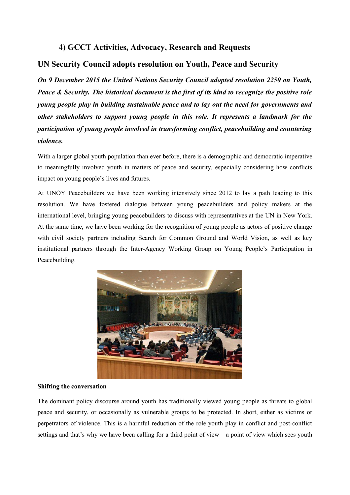## **4) GCCT Activities, Advocacy, Research and Requests**

### **UN Security Council adopts resolution on Youth, Peace and Security**

*On 9 December 2015 the United Nations Security Council adopted resolution 2250 on Youth, Peace & Security. The historical document is the first of its kind to recognize the positive role young people play in building sustainable peace and to lay out the need for governments and other stakeholders to support young people in this role. It represents a landmark for the participation of young people involved in transforming conflict, peacebuilding and countering violence.*

With a larger global youth population than ever before, there is a demographic and democratic imperative to meaningfully involved youth in matters of peace and security, especially considering how conflicts impact on young people's lives and futures.

At UNOY Peacebuilders we have been working intensively since 2012 to lay a path leading to this resolution. We have fostered dialogue between young peacebuilders and policy makers at the international level, bringing young peacebuilders to discuss with representatives at the UN in New York. At the same time, we have been working for the recognition of young people as actors of positive change with civil society partners including Search for Common Ground and World Vision, as well as key institutional partners through the Inter-Agency Working Group on Young People's Participation in Peacebuilding.



#### **Shifting the conversation**

The dominant policy discourse around youth has traditionally viewed young people as threats to global peace and security, or occasionally as vulnerable groups to be protected. In short, either as victims or perpetrators of violence. This is a harmful reduction of the role youth play in conflict and post-conflict settings and that's why we have been calling for a third point of view – a point of view which sees youth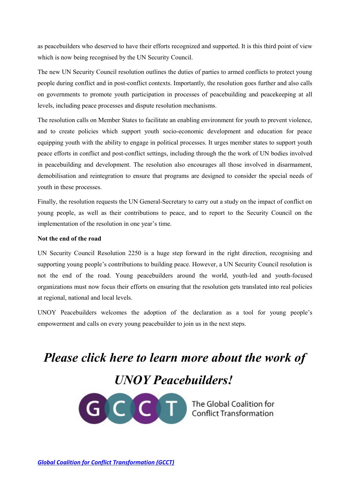as peacebuilders who deserved to have their efforts recognized and supported. It is this third point of view which is now being recognised by the UN Security Council.

The new UN Security Council resolution outlines the duties of parties to armed conflicts to protect young people during conflict and in post-conflict contexts. Importantly, the resolution goes further and also calls on governments to promote youth participation in processes of peacebuilding and peacekeeping at all levels, including peace processes and dispute resolution mechanisms.

The resolution calls on Member States to facilitate an enabling environment for youth to prevent violence, and to create policies which support youth socio-economic development and education for peace equipping youth with the ability to engage in political processes. It urges member states to support youth peace efforts in conflict and post-conflict settings, including through the the work of UN bodies involved in peacebuilding and development. The resolution also encourages all those involved in disarmament, demobilisation and reintegration to ensure that programs are designed to consider the special needs of youth in these processes.

Finally, the resolution requests the UN General-Secretary to carry out a study on the impact of conflict on young people, as well as their contributions to peace, and to report to the Security Council on the implementation of the resolution in one year's time.

#### **Not the end of the road**

UN Security Council Resolution 2250 is a huge step forward in the right direction, recognising and supporting young people's contributions to building peace. However, a UN Security Council resolution is not the end of the road. Young peacebuilders around the world, youth-led and youth-focused organizations must now focus their efforts on ensuring that the resolution gets translated into real policies at regional, national and local levels.

UNOY Peacebuilders welcomes the adoption of the declaration as a tool for young people's empowerment and calls on every young peacebuilder to join us in the next steps.

*[Please click here to learn more about the work of](http://www.transconflict.com/gcct/gcct-members/africa/eastern-africa/rwanda/never-again-rwanda/)*

# *[UNOY Peacebuilders!](http://www.transconflict.com/gcct/gcct-members/africa/eastern-africa/rwanda/never-again-rwanda/)*



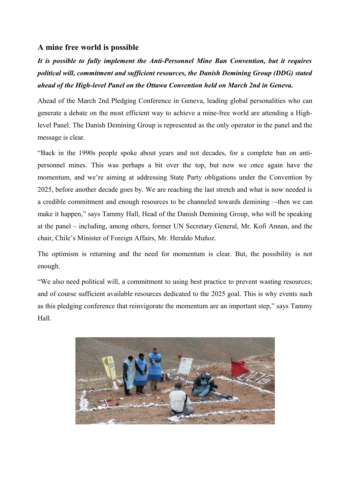### **A mine free world is possible**

*It is possible to fully implement the Anti-Personnel Mine Ban Convention, but it requires political will, commitment and sufficient resources, the [Danish Demining Group \(DDG\)](http://www.transconflict.com/gcct/gcct-members/africa/eastern-africa/kenya/danish-demining-group/) stated ahead of the High-level Panel on the Ottawa Convention held on March 2nd in Geneva.*

Ahead of the March 2nd Pledging Conference in Geneva, leading global personalities who can generate a debate on the most efficient way to achieve a mine-free world are attending a Highlevel Panel. The Danish Demining Group is represented as the only operator in the panel and the message is clear.

"Back in the 1990s people spoke about years and not decades, for a complete ban on antipersonnel mines. This was perhaps a bit over the top, but now we once again have the momentum, and we're aiming at addressing State Party obligations under the Convention by 2025, before another decade goes by. We are reaching the last stretch and what is now needed is a credible commitment and enough resources to be channeled towards demining –-then we can make it happen," says Tammy Hall, Head of the Danish Demining Group, who will be speaking at the panel – including, among others, former UN Secretary General, Mr. Kofi Annan, and the chair, Chile's Minister of Foreign Affairs, Mr. Heraldo Muñoz.

The optimism is returning and the need for momentum is clear. But, the possibility is not enough.

"We also need political will, a commitment to using best practice to prevent wasting resources; and of course sufficient available resources dedicated to the 2025 goal. This is why events such as this pledging conference that reinvigorate the momentum are an important step," says Tammy Hall.

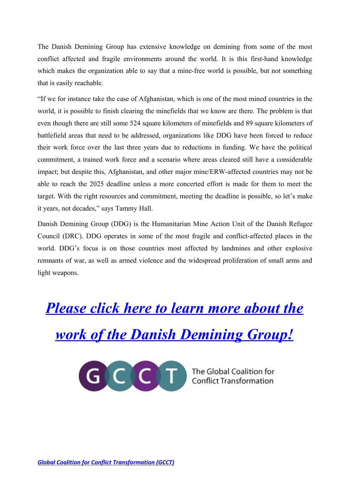The Danish Demining Group has extensive knowledge on demining from some of the most conflict affected and fragile environments around the world. It is this first-hand knowledge which makes the organization able to say that a mine-free world is possible, but not something that is easily reachable.

"If we for instance take the case of Afghanistan, which is one of the most mined countries in the world, it is possible to finish clearing the minefields that we know are there. The problem is that even though there are still some 524 square kilometers of minefields and 89 square kilometers of battlefield areas that need to be addressed, organizations like DDG have been forced to reduce their work force over the last three years due to reductions in funding. We have the political commitment, a trained work force and a scenario where areas cleared still have a considerable impact; but despite this, Afghanistan, and other major mine/ERW-affected countries may not be able to reach the 2025 deadline unless a more concerted effort is made for them to meet the target. With the right resources and commitment, meeting the deadline is possible, so let's make it years, not decades," says Tammy Hall.

Danish Demining Group (DDG) is the Humanitarian Mine Action Unit of the Danish Refugee Council (DRC). DDG operates in some of the most fragile and conflict-affected places in the world. DDG's focus is on those countries most affected by landmines and other explosive remnants of war, as well as armed violence and the widespread proliferation of small arms and light weapons.

*[Please click here to learn more about the](http://www.transconflict.com/gcct/gcct-members/africa/eastern-africa/kenya/danish-demining-group/)*

*[work of the Danish Demining Group!](http://www.transconflict.com/gcct/gcct-members/africa/eastern-africa/kenya/danish-demining-group/)*

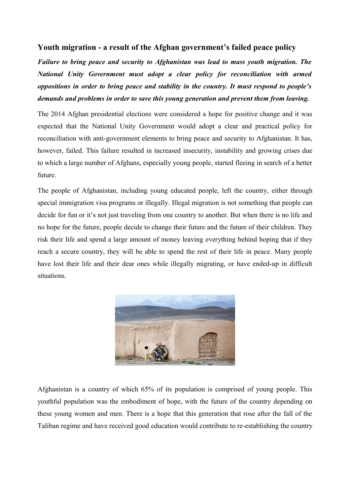### **Youth migration - a result of the Afghan government's failed peace policy**

*Failure to bring peace and security to Afghanistan was lead to mass youth migration. The National Unity Government must adopt a clear policy for reconciliation with armed oppositions in order to bring peace and stability in the country. It must respond to people's demands and problems in order to save this young generation and prevent them from leaving.*

The 2014 Afghan presidential elections were considered a hope for positive change and it was expected that the National Unity Government would adopt a clear and practical policy for reconciliation with anti-government elements to bring peace and security to Afghanistan. It has, however, failed. This failure resulted in increased insecurity, instability and growing crises due to which a large number of Afghans, especially young people, started fleeing in search of a better future.

The people of Afghanistan, including young educated people, left the country, either through special immigration visa programs or illegally. Illegal migration is not something that people can decide for fun or it's not just traveling from one country to another. But when there is no life and no hope for the future, people decide to change their future and the future of their children. They risk their life and spend a large amount of money leaving everything behind hoping that if they reach a secure country, they will be able to spend the rest of their life in peace. Many people have lost their life and their dear ones while illegally migrating, or have ended-up in difficult situations.



Afghanistan is a country of which 65% of its population is comprised of young people. This youthful population was the embodiment of hope, with the future of the country depending on these young women and men. There is a hope that this generation that rose after the fall of the Taliban regime and have received good education would contribute to re-establishing the country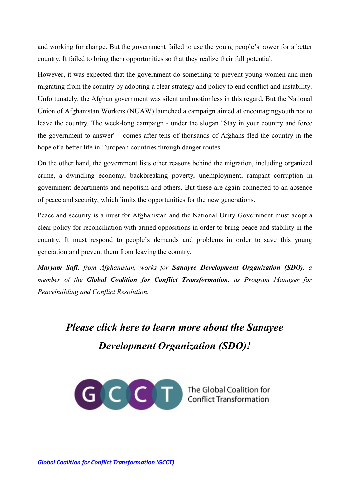and working for change. But the government failed to use the young people's power for a better country. It failed to bring them opportunities so that they realize their full potential.

However, it was expected that the government do something to prevent young women and men migrating from the country by adopting a clear strategy and policy to end conflict and instability. Unfortunately, the Afghan government was silent and motionless in this regard. But the National Union of Afghanistan Workers (NUAW) launched a campaign aimed at encouragingyouth not to leave the country. The week-long campaign - under the slogan "Stay in your country and force the government to answer" - comes after tens of thousands of Afghans fled the country in the hope of a better life in European countries through danger routes.

On the other hand, the government lists other reasons behind the migration, including organized crime, a dwindling economy, backbreaking poverty, unemployment, rampant corruption in government departments and nepotism and others. But these are again connected to an absence of peace and security, which limits the opportunities for the new generations.

Peace and security is a must for Afghanistan and the National Unity Government must adopt a clear policy for reconciliation with armed oppositions in order to bring peace and stability in the country. It must respond to people's demands and problems in order to save this young generation and prevent them from leaving the country.

*Maryam Safi, from Afghanistan, works for [Sanayee Development Organization \(SDO\)](http://www.transconflict.com/gcct/gcct-members/asia/afghanistan/sanayee-development-organization/), a member of the [Global Coalition for Conflict Transformation](http://www.transconflict.com/gcct/global-coalition-for-conflict-transformation/), as Program Manager for Peacebuilding and Conflict Resolution.* 

*[Please click here to learn more about the Sanayee](http://www.transconflict.com/gcct/gcct-members/asia/afghanistan/sanayee-development-organization/) [Development Organization \(SDO\)!](http://www.transconflict.com/gcct/gcct-members/asia/afghanistan/sanayee-development-organization/)*

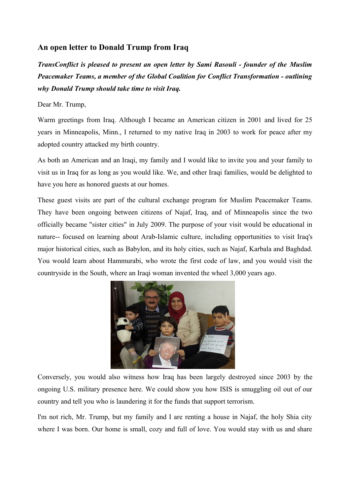# **An open letter to Donald Trump from Iraq**

*TransConflict is pleased to present an open letter by Sami Rasouli - founder of the [Muslim](http://www.transconflict.com/gcct/gcct-members/the-middle-east/iraq/muslim-peacemaker-teams/) [Peacemaker Teams,](http://www.transconflict.com/gcct/gcct-members/the-middle-east/iraq/muslim-peacemaker-teams/) a member of the [Global Coalition for Conflict Transformation](http://www.transconflict.com/gcct/global-coalition-for-conflict-transformation/) - outlining why Donald Trump should take time to visit Iraq.* 

Dear Mr. Trump,

Warm greetings from Iraq. Although I became an American citizen in 2001 and lived for 25 years in Minneapolis, Minn., I returned to my native Iraq in 2003 to work for peace after my adopted country attacked my birth country.

As both an American and an Iraqi, my family and I would like to invite you and your family to visit us in Iraq for as long as you would like. We, and other Iraqi families, would be delighted to have you here as honored guests at our homes.

These guest visits are part of the cultural exchange program for Muslim Peacemaker Teams. They have been ongoing between citizens of Najaf, Iraq, and of Minneapolis since the two officially became "sister cities" in July 2009. The purpose of your visit would be educational in nature-- focused on learning about Arab-Islamic culture, including opportunities to visit Iraq's major historical cities, such as Babylon, and its holy cities, such as Najaf, Karbala and Baghdad. You would learn about Hammurabi, who wrote the first code of law, and you would visit the countryside in the South, where an Iraqi woman invented the wheel 3,000 years ago.



Conversely, you would also witness how Iraq has been largely destroyed since 2003 by the ongoing U.S. military presence here. We could show you how ISIS is smuggling oil out of our country and tell you who is laundering it for the funds that support terrorism.

I'm not rich, Mr. Trump, but my family and I are renting a house in Najaf, the holy Shia city where I was born. Our home is small, cozy and full of love. You would stay with us and share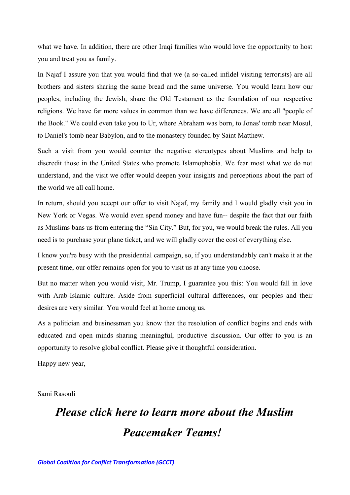what we have. In addition, there are other Iraqi families who would love the opportunity to host you and treat you as family.

In Najaf I assure you that you would find that we (a so-called infidel visiting terrorists) are all brothers and sisters sharing the same bread and the same universe. You would learn how our peoples, including the Jewish, share the Old Testament as the foundation of our respective religions. We have far more values in common than we have differences. We are all "people of the Book." We could even take you to Ur, where Abraham was born, to Jonas' tomb near Mosul, to Daniel's tomb near Babylon, and to the monastery founded by Saint Matthew.

Such a visit from you would counter the negative stereotypes about Muslims and help to discredit those in the United States who promote Islamophobia. We fear most what we do not understand, and the visit we offer would deepen your insights and perceptions about the part of the world we all call home.

In return, should you accept our offer to visit Najaf, my family and I would gladly visit you in New York or Vegas. We would even spend money and have fun-- despite the fact that our faith as Muslims bans us from entering the "Sin City." But, for you, we would break the rules. All you need is to purchase your plane ticket, and we will gladly cover the cost of everything else.

I know you're busy with the presidential campaign, so, if you understandably can't make it at the present time, our offer remains open for you to visit us at any time you choose.

But no matter when you would visit, Mr. Trump, I guarantee you this: You would fall in love with Arab-Islamic culture. Aside from superficial cultural differences, our peoples and their desires are very similar. You would feel at home among us.

As a politician and businessman you know that the resolution of conflict begins and ends with educated and open minds sharing meaningful, productive discussion. Our offer to you is an opportunity to resolve global conflict. Please give it thoughtful consideration.

Happy new year,

Sami Rasouli

# *[Please click here to learn more about the Muslim](http://www.transconflict.com/gcct/gcct-members/the-middle-east/iraq/muslim-peacemaker-teams/) [Peacemaker Teams!](http://www.transconflict.com/gcct/gcct-members/the-middle-east/iraq/muslim-peacemaker-teams/)*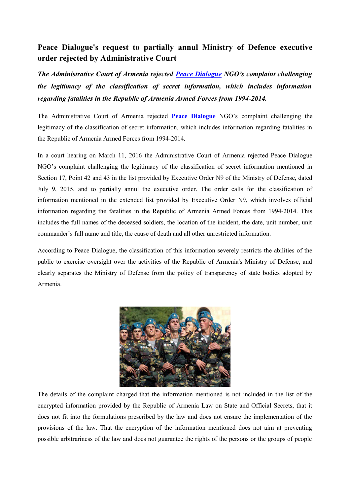# **Peace Dialogue's request to partially annul Ministry of Defence executive order rejected by Administrative Court**

*The Administrative Court of Armenia rejected [Peace Dialogue](http://www.transconflict.com/gcct/gcct-members/europe/the-caucasus/armenia/peace-dialogue/) NGO's complaint challenging the legitimacy of the classification of secret information, which includes information regarding fatalities in the Republic of Armenia Armed Forces from 1994-2014.*

The Administrative Court of Armenia rejected **[Peace Dialogue](http://www.transconflict.com/gcct/gcct-members/europe/the-caucasus/armenia/peace-dialogue/)** NGO's complaint challenging the legitimacy of the classification of secret information, which includes information regarding fatalities in the Republic of Armenia Armed Forces from 1994-2014.

In a court hearing on March 11, 2016 the Administrative Court of Armenia rejected Peace Dialogue NGO's complaint challenging the legitimacy of the classification of secret information mentioned in Section 17, Point 42 and 43 in the list provided by Executive Order N9 of the Ministry of Defense, dated July 9, 2015, and to partially annul the executive order. The order calls for the classification of information mentioned in the extended list provided by Executive Order N9, which involves official information regarding the fatalities in the Republic of Armenia Armed Forces from 1994-2014. This includes the full names of the deceased soldiers, the location of the incident, the date, unit number, unit commander's full name and title, the cause of death and all other unrestricted information.

According to Peace Dialogue, the classification of this information severely restricts the abilities of the public to exercise oversight over the activities of the Republic of Armenia's Ministry of Defense, and clearly separates the Ministry of Defense from the policy of transparency of state bodies adopted by Armenia.



The details of the complaint charged that the information mentioned is not included in the list of the encrypted information provided by the Republic of Armenia Law on State and Official Secrets, that it does not fit into the formulations prescribed by the law and does not ensure the implementation of the provisions of the law. That the encryption of the information mentioned does not aim at preventing possible arbitrariness of the law and does not guarantee the rights of the persons or the groups of people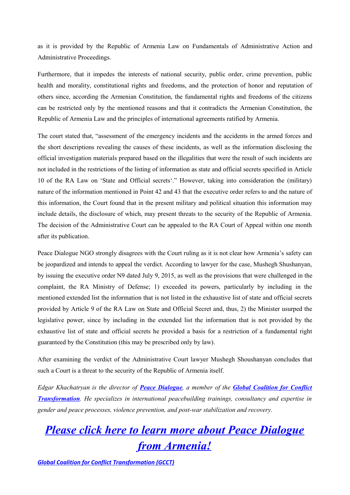as it is provided by the Republic of Armenia Law on Fundamentals of Administrative Action and Administrative Proceedings.

Furthermore, that it impedes the interests of national security, public order, crime prevention, public health and morality, constitutional rights and freedoms, and the protection of honor and reputation of others since, according the Armenian Constitution, the fundamental rights and freedoms of the citizens can be restricted only by the mentioned reasons and that it contradicts the Armenian Constitution, the Republic of Armenia Law and the principles of international agreements ratified by Armenia.

The court stated that, "assessment of the emergency incidents and the accidents in the armed forces and the short descriptions revealing the causes of these incidents, as well as the information disclosing the official investigation materials prepared based on the illegalities that were the result of such incidents are not included in the restrictions of the listing of information as state and official secrets specified in Article 10 of the RA Law on 'State and Official secrets'." However, taking into consideration the (military) nature of the information mentioned in Point 42 and 43 that the executive order refers to and the nature of this information, the Court found that in the present military and political situation this information may include details, the disclosure of which, may present threats to the security of the Republic of Armenia. The decision of the Administrative Court can be appealed to the RA Court of Appeal within one month after its publication.

Peace Dialogue NGO strongly disagrees with the Court ruling as it is not clear how Armenia's safety can be jeopardized and intends to appeal the verdict. According to lawyer for the case, Mushegh Shushanyan, by issuing the executive order N9 dated July 9, 2015, as well as the provisions that were challenged in the complaint, the RA Ministry of Defense; 1) exceeded its powers, particularly by including in the mentioned extended list the information that is not listed in the exhaustive list of state and official secrets provided by Article 9 of the RA Law on State and Official Secret and, thus, 2) the Minister usurped the legislative power, since by including in the extended list the information that is not provided by the exhaustive list of state and official secrets he provided a basis for a restriction of a fundamental right guaranteed by the Constitution (this may be prescribed only by law).

After examining the verdict of the Administrative Court lawyer Mushegh Shoushanyan concludes that such a Court is a threat to the security of the Republic of Armenia itself.

*Edgar Khachatryan is the director of [Peace Dialogue](http://www.transconflict.com/gcct/gcct-members/europe/the-caucasus/armenia/peace-dialogue/), a member of the [Global Coalition for Conflict](http://www.transconflict.com/gcct/global-coalition-for-conflict-transformation/) [Transformation](http://www.transconflict.com/gcct/global-coalition-for-conflict-transformation/). He specializes in international peacebuilding trainings, consultancy and expertise in gender and peace processes, violence prevention, and post-war stabilization and recovery.*

# *[Please click here to learn more about Peace Dialogue](http://www.transconflict.com/gcct/gcct-members/europe/the-caucasus/armenia/peace-dialogue/) [from Armenia!](http://www.transconflict.com/gcct/gcct-members/europe/the-caucasus/armenia/peace-dialogue/)*

*[Global Coalition for Conflict Transformation \(GCCT\)](http://www.transconflict.com/gcct/global-coalition-for-conflict-transformation/)*